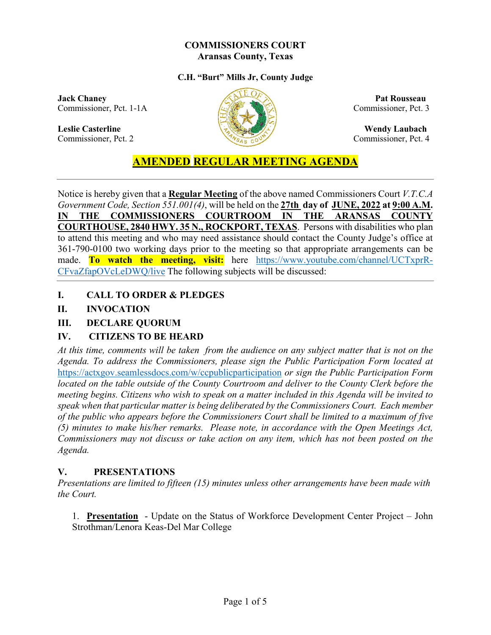#### **COMMISSIONERS COURT Aransas County, Texas**

#### **C.H. "Burt" Mills Jr, County Judge**

**Jack Chaney Pat Rousseau** Commissioner, Pct. 1-1A ( $\sqrt{2}$  Commissioner, Pct. 3

**Leslie Casterline Wendy Laubach** Commissioner, Pct. 2 Commissioner, Pct. 4



# **AMENDED REGULAR MEETING AGENDA**

Notice is hereby given that a **Regular Meeting** of the above named Commissioners Court *V.T.C.A Government Code, Section 551.001(4)*, will be held on the **27th day of JUNE, 2022 at 9:00 A.M. IN THE COMMISSIONERS COURTROOM IN THE ARANSAS COUNTY COURTHOUSE, 2840 HWY. 35 N., ROCKPORT, TEXAS**. Persons with disabilities who plan to attend this meeting and who may need assistance should contact the County Judge's office at 361-790-0100 two working days prior to the meeting so that appropriate arrangements can be made. **To watch the meeting, visit:** here [https://www.youtube.com/channel/UCTxprR-](https://www.youtube.com/channel/UCTxprR-CFvaZfapOVcLeDWQ/live)[CFvaZfapOVcLeDWQ/live](https://www.youtube.com/channel/UCTxprR-CFvaZfapOVcLeDWQ/live) The following subjects will be discussed:

**I. CALL TO ORDER & PLEDGES**

# **II. INVOCATION**

## **III. DECLARE QUORUM**

# **IV. CITIZENS TO BE HEARD**

*At this time, comments will be taken from the audience on any subject matter that is not on the Agenda. To address the Commissioners, please sign the Public Participation Form located at*  <https://actxgov.seamlessdocs.com/w/ccpublicparticipation> *or sign the Public Participation Form located on the table outside of the County Courtroom and deliver to the County Clerk before the meeting begins. Citizens who wish to speak on a matter included in this Agenda will be invited to speak when that particular matter is being deliberated by the Commissioners Court. Each member of the public who appears before the Commissioners Court shall be limited to a maximum of five (5) minutes to make his/her remarks. Please note, in accordance with the Open Meetings Act, Commissioners may not discuss or take action on any item, which has not been posted on the Agenda.*

#### **V. PRESENTATIONS**

*Presentations are limited to fifteen (15) minutes unless other arrangements have been made with the Court.*

1. **Presentation** - Update on the Status of Workforce Development Center Project – John Strothman/Lenora Keas-Del Mar College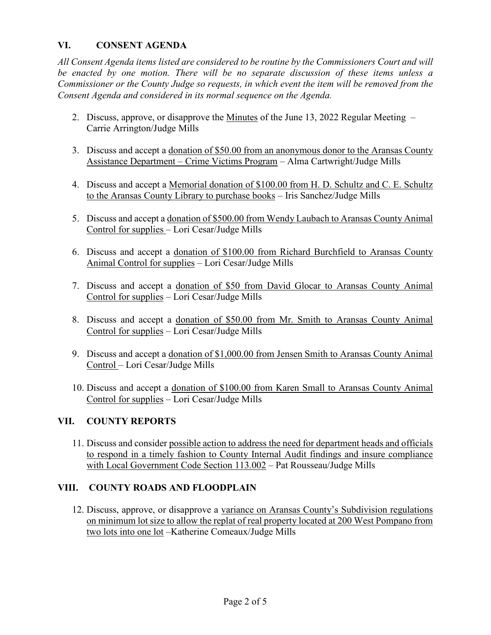## **VI. CONSENT AGENDA**

*All Consent Agenda items listed are considered to be routine by the Commissioners Court and will be enacted by one motion. There will be no separate discussion of these items unless a Commissioner or the County Judge so requests, in which event the item will be removed from the Consent Agenda and considered in its normal sequence on the Agenda.*

- 2. Discuss, approve, or disapprove the Minutes of the June 13, 2022 Regular Meeting Carrie Arrington/Judge Mills
- 3. Discuss and accept a donation of \$50.00 from an anonymous donor to the Aransas County Assistance Department – Crime Victims Program – Alma Cartwright/Judge Mills
- 4. Discuss and accept a Memorial donation of \$100.00 from H. D. Schultz and C. E. Schultz to the Aransas County Library to purchase books – Iris Sanchez/Judge Mills
- 5. Discuss and accept a donation of \$500.00 from Wendy Laubach to Aransas County Animal Control for supplies – Lori Cesar/Judge Mills
- 6. Discuss and accept a donation of \$100.00 from Richard Burchfield to Aransas County Animal Control for supplies – Lori Cesar/Judge Mills
- 7. Discuss and accept a donation of \$50 from David Glocar to Aransas County Animal Control for supplies – Lori Cesar/Judge Mills
- 8. Discuss and accept a donation of \$50.00 from Mr. Smith to Aransas County Animal Control for supplies – Lori Cesar/Judge Mills
- 9. Discuss and accept a donation of \$1,000.00 from Jensen Smith to Aransas County Animal Control – Lori Cesar/Judge Mills
- 10. Discuss and accept a donation of \$100.00 from Karen Small to Aransas County Animal Control for supplies – Lori Cesar/Judge Mills

#### **VII. COUNTY REPORTS**

11. Discuss and consider possible action to address the need for department heads and officials to respond in a timely fashion to County Internal Audit findings and insure compliance with Local Government Code Section 113.002 – Pat Rousseau/Judge Mills

#### **VIII. COUNTY ROADS AND FLOODPLAIN**

12. Discuss, approve, or disapprove a variance on Aransas County's Subdivision regulations on minimum lot size to allow the replat of real property located at 200 West Pompano from two lots into one lot –Katherine Comeaux/Judge Mills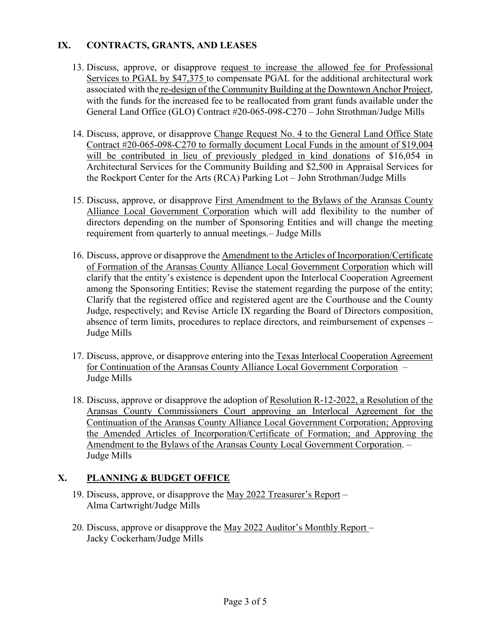## **IX. CONTRACTS, GRANTS, AND LEASES**

- 13. Discuss, approve, or disapprove request to increase the allowed fee for Professional Services to PGAL by \$47,375 to compensate PGAL for the additional architectural work associated with the re-design of the Community Building at the Downtown Anchor Project, with the funds for the increased fee to be reallocated from grant funds available under the General Land Office (GLO) Contract #20-065-098-C270 – John Strothman/Judge Mills
- 14. Discuss, approve, or disapprove Change Request No. 4 to the General Land Office State Contract #20-065-098-C270 to formally document Local Funds in the amount of \$19,004 will be contributed in lieu of previously pledged in kind donations of \$16,054 in Architectural Services for the Community Building and \$2,500 in Appraisal Services for the Rockport Center for the Arts (RCA) Parking Lot – John Strothman/Judge Mills
- 15. Discuss, approve, or disapprove First Amendment to the Bylaws of the Aransas County Alliance Local Government Corporation which will add flexibility to the number of directors depending on the number of Sponsoring Entities and will change the meeting requirement from quarterly to annual meetings.– Judge Mills
- 16. Discuss, approve or disapprove the Amendment to the Articles of Incorporation/Certificate of Formation of the Aransas County Alliance Local Government Corporation which will clarify that the entity's existence is dependent upon the Interlocal Cooperation Agreement among the Sponsoring Entities; Revise the statement regarding the purpose of the entity; Clarify that the registered office and registered agent are the Courthouse and the County Judge, respectively; and Revise Article IX regarding the Board of Directors composition, absence of term limits, procedures to replace directors, and reimbursement of expenses – Judge Mills
- 17. Discuss, approve, or disapprove entering into the Texas Interlocal Cooperation Agreement for Continuation of the Aransas County Alliance Local Government Corporation – Judge Mills
- 18. Discuss, approve or disapprove the adoption of Resolution R-12-2022, a Resolution of the Aransas County Commissioners Court approving an Interlocal Agreement for the Continuation of the Aransas County Alliance Local Government Corporation; Approving the Amended Articles of Incorporation/Certificate of Formation; and Approving the Amendment to the Bylaws of the Aransas County Local Government Corporation. – Judge Mills

# **X. PLANNING & BUDGET OFFICE**

- 19. Discuss, approve, or disapprove the May 2022 Treasurer's Report Alma Cartwright/Judge Mills
- 20. Discuss, approve or disapprove the May 2022 Auditor's Monthly Report Jacky Cockerham/Judge Mills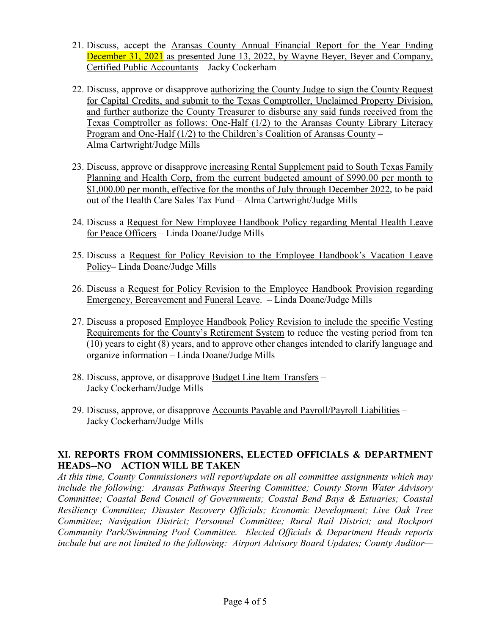- 21. Discuss, accept the Aransas County Annual Financial Report for the Year Ending December 31, 2021 as presented June 13, 2022, by Wayne Beyer, Beyer and Company, Certified Public Accountants – Jacky Cockerham
- 22. Discuss, approve or disapprove authorizing the County Judge to sign the County Request for Capital Credits, and submit to the Texas Comptroller, Unclaimed Property Division, and further authorize the County Treasurer to disburse any said funds received from the Texas Comptroller as follows: One-Half (1/2) to the Aransas County Library Literacy Program and One-Half (1/2) to the Children's Coalition of Aransas County – Alma Cartwright/Judge Mills
- 23. Discuss, approve or disapprove increasing Rental Supplement paid to South Texas Family Planning and Health Corp, from the current budgeted amount of \$990.00 per month to \$1,000.00 per month, effective for the months of July through December 2022, to be paid out of the Health Care Sales Tax Fund – Alma Cartwright/Judge Mills
- 24. Discuss a Request for New Employee Handbook Policy regarding Mental Health Leave for Peace Officers – Linda Doane/Judge Mills
- 25. Discuss a Request for Policy Revision to the Employee Handbook's Vacation Leave Policy– Linda Doane/Judge Mills
- 26. Discuss a Request for Policy Revision to the Employee Handbook Provision regarding Emergency, Bereavement and Funeral Leave. – Linda Doane/Judge Mills
- 27. Discuss a proposed Employee Handbook Policy Revision to include the specific Vesting Requirements for the County's Retirement System to reduce the vesting period from ten (10) years to eight (8) years, and to approve other changes intended to clarify language and organize information – Linda Doane/Judge Mills
- 28. Discuss, approve, or disapprove Budget Line Item Transfers Jacky Cockerham/Judge Mills
- 29. Discuss, approve, or disapprove Accounts Payable and Payroll/Payroll Liabilities Jacky Cockerham/Judge Mills

#### **XI. REPORTS FROM COMMISSIONERS, ELECTED OFFICIALS & DEPARTMENT HEADS--NO ACTION WILL BE TAKEN**

*At this time, County Commissioners will report/update on all committee assignments which may include the following: Aransas Pathways Steering Committee; County Storm Water Advisory Committee; Coastal Bend Council of Governments; Coastal Bend Bays & Estuaries; Coastal Resiliency Committee; Disaster Recovery Officials; Economic Development; Live Oak Tree Committee; Navigation District; Personnel Committee; Rural Rail District; and Rockport Community Park/Swimming Pool Committee. Elected Officials & Department Heads reports include but are not limited to the following: Airport Advisory Board Updates; County Auditor—*